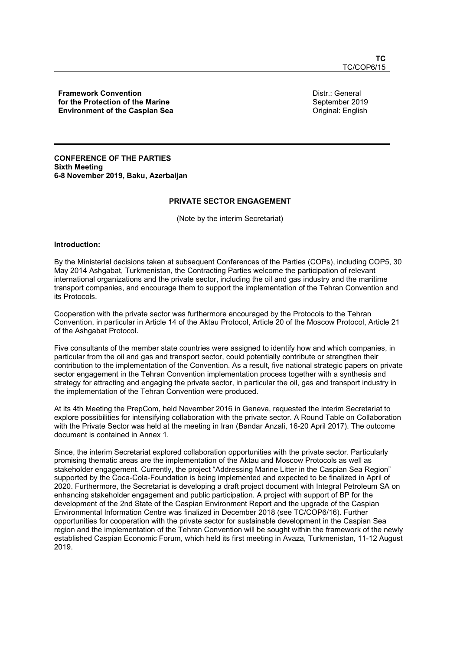Framework Convention for the Protection of the Marine Environment of the Caspian Sea Distr.: General September 2019 Original: English

CONFERENCE OF THE PARTIES Sixth Meeting 6-8 November 2019, Baku, Azerbaijan

# PRIVATE SECTOR ENGAGEMENT

(Note by the interim Secretariat)

#### Introduction:

By the Ministerial decisions taken at subsequent Conferences of the Parties (COPs), including COP5, 30 May 2014 Ashgabat, Turkmenistan, the Contracting Parties welcome the participation of relevant international organizations and the private sector, including the oil and gas industry and the maritime transport companies, and encourage them to support the implementation of the Tehran Convention and its Protocols.

Cooperation with the private sector was furthermore encouraged by the Protocols to the Tehran Convention, in particular in Article 14 of the Aktau Protocol, Article 20 of the Moscow Protocol, Article 21 of the Ashgabat Protocol.

Five consultants of the member state countries were assigned to identify how and which companies, in particular from the oil and gas and transport sector, could potentially contribute or strengthen their contribution to the implementation of the Convention. As a result, five national strategic papers on private sector engagement in the Tehran Convention implementation process together with a synthesis and strategy for attracting and engaging the private sector, in particular the oil, gas and transport industry in the implementation of the Tehran Convention were produced.

At its 4th Meeting the PrepCom, held November 2016 in Geneva, requested the interim Secretariat to explore possibilities for intensifying collaboration with the private sector. A Round Table on Collaboration with the Private Sector was held at the meeting in Iran (Bandar Anzali, 16-20 April 2017). The outcome document is contained in Annex 1.

Since, the interim Secretariat explored collaboration opportunities with the private sector. Particularly promising thematic areas are the implementation of the Aktau and Moscow Protocols as well as stakeholder engagement. Currently, the project "Addressing Marine Litter in the Caspian Sea Region" supported by the Coca-Cola-Foundation is being implemented and expected to be finalized in April of 2020. Furthermore, the Secretariat is developing a draft project document with Integral Petroleum SA on enhancing stakeholder engagement and public participation. A project with support of BP for the development of the 2nd State of the Caspian Environment Report and the upgrade of the Caspian Environmental Information Centre was finalized in December 2018 (see TC/COP6/16). Further opportunities for cooperation with the private sector for sustainable development in the Caspian Sea region and the implementation of the Tehran Convention will be sought within the framework of the newly established Caspian Economic Forum, which held its first meeting in Avaza, Turkmenistan, 11-12 August 2019.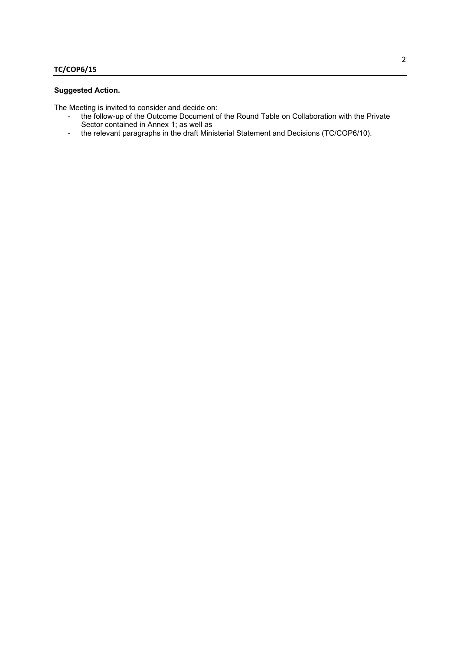# Suggested Action.

The Meeting is invited to consider and decide on:

- the follow-up of the Outcome Document of the Round Table on Collaboration with the Private Sector contained in Annex 1; as well as
- the relevant paragraphs in the draft Ministerial Statement and Decisions (TC/COP6/10).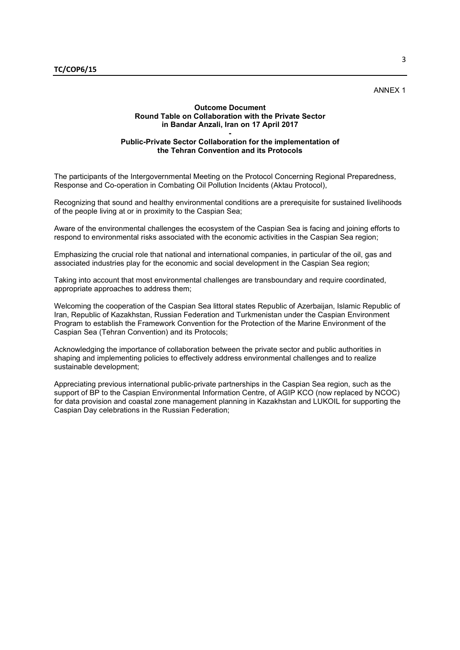# ANNEX 1

## Outcome Document Round Table on Collaboration with the Private Sector in Bandar Anzali, Iran on 17 April 2017

#### - Public-Private Sector Collaboration for the implementation of the Tehran Convention and its Protocols

The participants of the Intergovernmental Meeting on the Protocol Concerning Regional Preparedness, Response and Co-operation in Combating Oil Pollution Incidents (Aktau Protocol),

Recognizing that sound and healthy environmental conditions are a prerequisite for sustained livelihoods of the people living at or in proximity to the Caspian Sea;

Aware of the environmental challenges the ecosystem of the Caspian Sea is facing and joining efforts to respond to environmental risks associated with the economic activities in the Caspian Sea region;

Emphasizing the crucial role that national and international companies, in particular of the oil, gas and associated industries play for the economic and social development in the Caspian Sea region;

Taking into account that most environmental challenges are transboundary and require coordinated, appropriate approaches to address them;

Welcoming the cooperation of the Caspian Sea littoral states Republic of Azerbaijan, Islamic Republic of Iran, Republic of Kazakhstan, Russian Federation and Turkmenistan under the Caspian Environment Program to establish the Framework Convention for the Protection of the Marine Environment of the Caspian Sea (Tehran Convention) and its Protocols;

Acknowledging the importance of collaboration between the private sector and public authorities in shaping and implementing policies to effectively address environmental challenges and to realize sustainable development;

Appreciating previous international public-private partnerships in the Caspian Sea region, such as the support of BP to the Caspian Environmental Information Centre, of AGIP KCO (now replaced by NCOC) for data provision and coastal zone management planning in Kazakhstan and LUKOIL for supporting the Caspian Day celebrations in the Russian Federation;